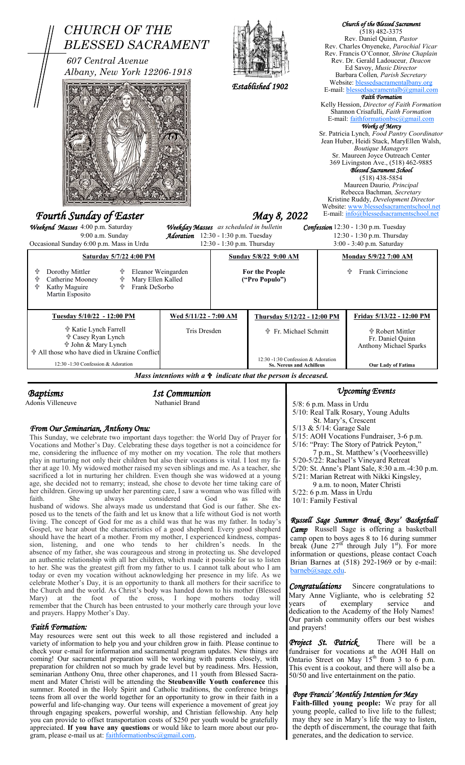| <b>CHURCH OF THE</b><br><b>BLESSED SACRAMENT</b><br>607 Central Avenue<br>Albany, New York 12206-1918                                                             |                                                                   |                                                                                                                                                                                      | Established 1902                                                      |                                                         |                               | Church of the Blessed Sacrament<br>$(518)$ 482-3375<br>Rev. Daniel Quinn, Pastor<br>Rev. Charles Onyeneke, Parochial Vicar<br>Rev. Francis O'Connor, Shrine Chaplain<br>Rev. Dr. Gerald Ladouceur, Deacon<br>Ed Savoy, Music Director<br>Barbara Collen, Parish Secretary<br>Website: blessedsacramentalbany.org<br>E-mail: blessedsacramentalb@gmail.com<br><b>Faith Formation</b><br>Kelly Hession, Director of Faith Formation<br>Shannon Crisafulli, Faith Formation<br>E-mail: faithformationbsc@gmail.com<br>Works of Mercy<br>Sr. Patricia Lynch, Food Pantry Coordinator<br>Jean Huber, Heidi Stack, MaryEllen Walsh,<br><b>Boutique Managers</b><br>Sr. Maureen Joyce Outreach Center<br>369 Livingston Ave., (518) 462-9885<br>Blessed Sacrament School<br>$(518)$ 438-5854<br>Maureen Daurio, <i>Principal</i><br>Rebecca Bachman, Secretary<br>Kristine Ruddy, Development Director |  |
|-------------------------------------------------------------------------------------------------------------------------------------------------------------------|-------------------------------------------------------------------|--------------------------------------------------------------------------------------------------------------------------------------------------------------------------------------|-----------------------------------------------------------------------|---------------------------------------------------------|-------------------------------|-------------------------------------------------------------------------------------------------------------------------------------------------------------------------------------------------------------------------------------------------------------------------------------------------------------------------------------------------------------------------------------------------------------------------------------------------------------------------------------------------------------------------------------------------------------------------------------------------------------------------------------------------------------------------------------------------------------------------------------------------------------------------------------------------------------------------------------------------------------------------------------------------|--|
| Fourth Sunday of Easter<br>Weekend Masses 4:00 p.m. Saturday                                                                                                      |                                                                   | Website: www.blessedsacramentschool.net<br>E-mail: info@blessedsacramentschool.net<br>May 8, 2022<br>Weekday Masses as scheduled in bulletin<br>Confession 12:30 - 1:30 p.m. Tuesday |                                                                       |                                                         |                               |                                                                                                                                                                                                                                                                                                                                                                                                                                                                                                                                                                                                                                                                                                                                                                                                                                                                                                 |  |
| 9:00 a.m. Sunday<br>Occasional Sunday 6:00 p.m. Mass in Urdu                                                                                                      | Adoration 12:30 - 1:30 p.m. Tuesday<br>12:30 - 1:30 p.m. Thursday |                                                                                                                                                                                      |                                                                       | 12:30 - 1:30 p.m. Thursday<br>3:00 - 3:40 p.m. Saturday |                               |                                                                                                                                                                                                                                                                                                                                                                                                                                                                                                                                                                                                                                                                                                                                                                                                                                                                                                 |  |
| Saturday 5/7/22 4:00 PM                                                                                                                                           | Sunday 5/8/22 9:00 AM                                             |                                                                                                                                                                                      |                                                                       | <u>Monday 5/9/22 7:00 AM</u>                            |                               |                                                                                                                                                                                                                                                                                                                                                                                                                                                                                                                                                                                                                                                                                                                                                                                                                                                                                                 |  |
| Dorothy Mittler<br>Eleanor Weingarden<br>╬<br>╬<br>╬<br>Catherine Mooney<br>╬<br>Mary Ellen Kalled<br>유<br>Kathy Maguire<br>슈<br>Frank DeSorbo<br>Martin Esposito |                                                                   | <b>For the People</b><br>("Pro Populo")                                                                                                                                              |                                                                       |                                                         | <b>Frank Cirrincione</b><br>╬ |                                                                                                                                                                                                                                                                                                                                                                                                                                                                                                                                                                                                                                                                                                                                                                                                                                                                                                 |  |
| Tuesday 5/10/22 - 12:00 PM<br>Wed 5/11/22 - 7:00 AM                                                                                                               |                                                                   |                                                                                                                                                                                      |                                                                       | Thursday 5/12/22 - 12:00 PM                             |                               | Friday 5/13/22 - 12:00 PM                                                                                                                                                                                                                                                                                                                                                                                                                                                                                                                                                                                                                                                                                                                                                                                                                                                                       |  |
| † Katie Lynch Farrell<br><b><math>\Phi</math> Casey Ryan Lynch</b><br>n John & Mary Lynch<br>☆ All those who have died in Ukraine Conflict                        |                                                                   | Tris Dresden                                                                                                                                                                         | ☆ Fr. Michael Schmitt                                                 |                                                         |                               | n Robert Mittler<br>Fr. Daniel Quinn<br>Anthony Michael Sparks                                                                                                                                                                                                                                                                                                                                                                                                                                                                                                                                                                                                                                                                                                                                                                                                                                  |  |
| 12:30 -1:30 Confession & Adoration                                                                                                                                |                                                                   |                                                                                                                                                                                      | 12:30 -1:30 Confession & Adoration<br><b>Ss. Nereus and Achilleus</b> |                                                         | <b>Our Lady of Fatima</b>     |                                                                                                                                                                                                                                                                                                                                                                                                                                                                                                                                                                                                                                                                                                                                                                                                                                                                                                 |  |
| Mass intentions with $a \oplus indicate$ that the person is deceased.                                                                                             |                                                                   |                                                                                                                                                                                      |                                                                       |                                                         |                               |                                                                                                                                                                                                                                                                                                                                                                                                                                                                                                                                                                                                                                                                                                                                                                                                                                                                                                 |  |
| 1st Communion<br><b>Baptisms</b>                                                                                                                                  |                                                                   |                                                                                                                                                                                      |                                                                       | <b>Upcoming Events</b>                                  |                               |                                                                                                                                                                                                                                                                                                                                                                                                                                                                                                                                                                                                                                                                                                                                                                                                                                                                                                 |  |

Adonis Villeneuve Nathaniel Brand

*From Our Seminarian, Anthony Onu:*

This Sunday, we celebrate two important days together: the World Day of Prayer for Vocations and Mother's Day. Celebrating these days together is not a coincidence for me, considering the influence of my mother on my vocation. The role that mothers play in nurturing not only their children but also their vocations is vital. I lost my father at age 10. My widowed mother raised my seven siblings and me. As a teacher, she sacrificed a lot in nurturing her children. Even though she was widowed at a young age, she decided not to remarry; instead, she chose to devote her time taking care of her children. Growing up under her parenting care, I saw a woman who was filled with faith. She always considered God as the husband of widows. She always made us understand that God is our father. She exposed us to the tenets of the faith and let us know that a life without God is not worth living. The concept of God for me as a child was that he was my father. In today's Gospel, we hear about the characteristics of a good shepherd. Every good shepherd should have the heart of a mother. From my mother, I experienced kindness, compassion, listening, and one who tends to her children's needs. In the absence of my father, she was courageous and strong in protecting us. She developed an authentic relationship with all her children, which made it possible for us to listen to her. She was the greatest gift from my father to us. I cannot talk about who I am today or even my vocation without acknowledging her presence in my life. As we celebrate Mother's Day, it is an opportunity to thank all mothers for their sacrifice to the Church and the world. As Christ's body was handed down to his mother (Blessed Mary) at the foot of the cross, I hope mothers today will Mary) at the foot of the cross, I hope mothers today will remember that the Church has been entrusted to your motherly care through your love and prayers. Happy Mother's Day.

## *Faith Formation:*

May resources were sent out this week to all those registered and included a variety of information to help you and your children grow in faith. Please continue to check your e-mail for information and sacramental program updates. New things are coming! Our sacramental preparation will be working with parents closely, with preparation for children not so much by grade level but by readiness. Mrs. Hession, seminarian Anthony Onu, three other chaperones, and 11 youth from Blessed Sacrament and Mater Christi will be attending the **Steubenville Youth conference** this summer. Rooted in the Holy Spirit and Catholic traditions, the conference brings teens from all over the world together for an opportunity to grow in their faith in a powerful and life-changing way. Our teens will experience a movement of great joy through engaging speakers, powerful worship, and Christian fellowship. Any help you can provide to offset transportation costs of \$250 per youth would be gratefully appreciated. **If you have any questions** or would like to learn more about our program, please e-mail us at: [faithformationbsc@gmail.com.](mailto:faithformationbsc@gmail.com)

5/8: 6 p.m. Mass in Urdu 5/10: Real Talk Rosary, Young Adults St. Mary's, Crescent 5/13 & 5/14: Garage Sale 5/15: AOH Vocations Fundraiser, 3-6 p.m. 5/16: "Pray: The Story of Patrick Peyton," 7 p.m., St. Matthew's (Voorheesville) 5/20-5/22: Rachael's Vineyard Retreat 5/20: St. Anne's Plant Sale, 8:30 a.m.-4:30 p.m. 5/21: Marian Retreat with Nikki Kingsley, 9 a.m. to noon, Mater Christi 5/22: 6 p.m. Mass in Urdu 10/1: Family Festival

*Russell Sage Summer Break Boys' Basketball Camp* Russell Sage is offering a basketball camp open to boys ages 8 to 16 during summer break (June  $27<sup>th</sup>$  through July 1<sup>st</sup>). For more information or questions, please contact Coach Brian Barnes at  $(518)$  292-1969 or by e-mail: oarneb@sage.edu

*Congratulations* Sincere congratulations to Mary Anne Vigliante, who is celebrating 52<br>years of exemplary service and exemplary service and dedication to the Academy of the Holy Names! Our parish community offers our best wishes and prayers!

Project St. Patrick<sub>,</sub> There will be a fundraiser for vocations at the AOH Hall on Ontario Street on May  $15<sup>th</sup>$  from 3 to 6 p.m. This event is a cookout, and there will also be a 50/50 and live entertainment on the patio.

## *Pope Francis' Monthly Intention for May*

**Faith-filled young people:** We pray for all young people, called to live life to the fullest; may they see in Mary's life the way to listen, the depth of discernment, the courage that faith generates, and the dedication to service.